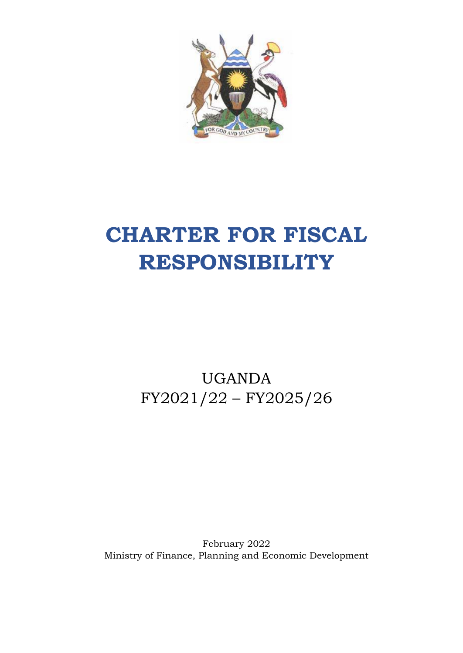

# **CHARTER FOR FISCAL RESPONSIBILITY**

# UGANDA FY2021/22 – FY2025/26

February 2022 Ministry of Finance, Planning and Economic Development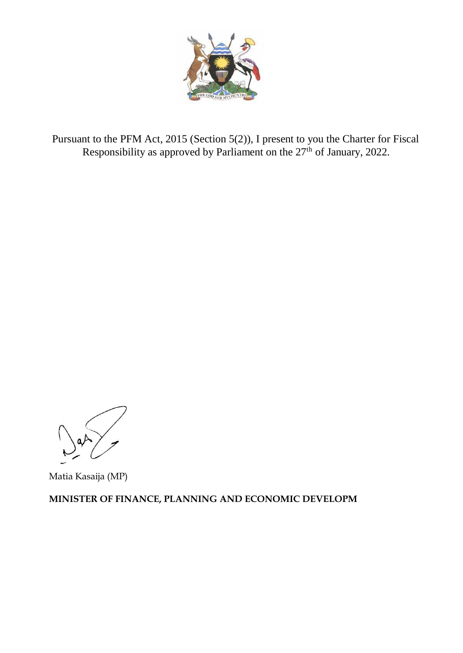

Pursuant to the PFM Act, 2015 (Section 5(2)), I present to you the Charter for Fiscal Responsibility as approved by Parliament on the 27<sup>th</sup> of January, 2022.

Matia Kasaija (MP)

**MINISTER OF FINANCE, PLANNING AND ECONOMIC DEVELOPM**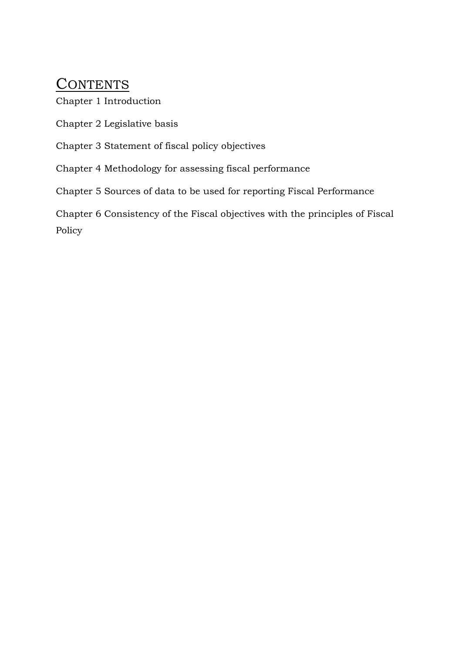# **CONTENTS**

Chapter 1 Introduction

Chapter 2 Legislative basis

Chapter 3 Statement of fiscal policy objectives

Chapter 4 Methodology for assessing fiscal performance

Chapter 5 Sources of data to be used for reporting Fiscal Performance

Chapter 6 Consistency of the Fiscal objectives with the principles of Fiscal Policy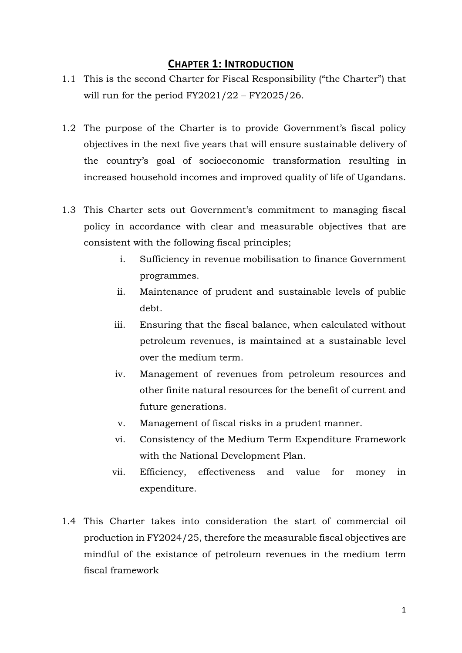#### **CHAPTER 1: INTRODUCTION**

- 1.1 This is the second Charter for Fiscal Responsibility ("the Charter") that will run for the period FY2021/22 – FY2025/26.
- 1.2 The purpose of the Charter is to provide Government's fiscal policy objectives in the next five years that will ensure sustainable delivery of the country's goal of socioeconomic transformation resulting in increased household incomes and improved quality of life of Ugandans.
- 1.3 This Charter sets out Government's commitment to managing fiscal policy in accordance with clear and measurable objectives that are consistent with the following fiscal principles;
	- i. Sufficiency in revenue mobilisation to finance Government programmes.
	- ii. Maintenance of prudent and sustainable levels of public debt.
	- iii. Ensuring that the fiscal balance, when calculated without petroleum revenues, is maintained at a sustainable level over the medium term.
	- iv. Management of revenues from petroleum resources and other finite natural resources for the benefit of current and future generations.
	- v. Management of fiscal risks in a prudent manner.
	- vi. Consistency of the Medium Term Expenditure Framework with the National Development Plan.
	- vii. Efficiency, effectiveness and value for money in expenditure.
- 1.4 This Charter takes into consideration the start of commercial oil production in FY2024/25, therefore the measurable fiscal objectives are mindful of the existance of petroleum revenues in the medium term fiscal framework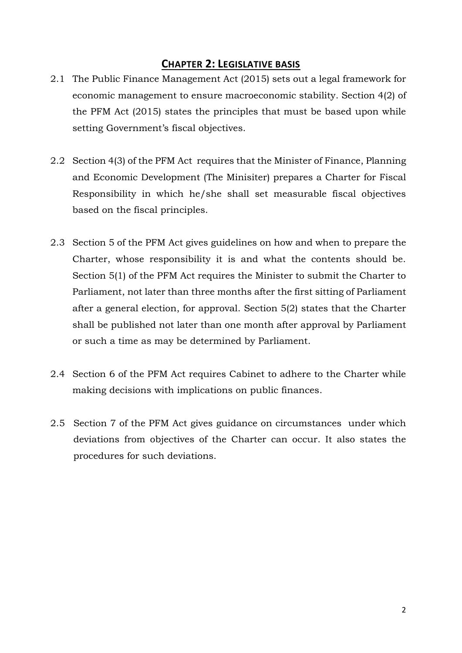#### **CHAPTER 2: LEGISLATIVE BASIS**

- 2.1 The Public Finance Management Act (2015) sets out a legal framework for economic management to ensure macroeconomic stability. Section 4(2) of the PFM Act (2015) states the principles that must be based upon while setting Government's fiscal objectives.
- 2.2 Section 4(3) of the PFM Act requires that the Minister of Finance, Planning and Economic Development (The Minisiter) prepares a Charter for Fiscal Responsibility in which he/she shall set measurable fiscal objectives based on the fiscal principles.
- 2.3 Section 5 of the PFM Act gives guidelines on how and when to prepare the Charter, whose responsibility it is and what the contents should be. Section 5(1) of the PFM Act requires the Minister to submit the Charter to Parliament, not later than three months after the first sitting of Parliament after a general election, for approval. Section 5(2) states that the Charter shall be published not later than one month after approval by Parliament or such a time as may be determined by Parliament.
- 2.4 Section 6 of the PFM Act requires Cabinet to adhere to the Charter while making decisions with implications on public finances.
- 2.5 Section 7 of the PFM Act gives guidance on circumstances under which deviations from objectives of the Charter can occur. It also states the procedures for such deviations.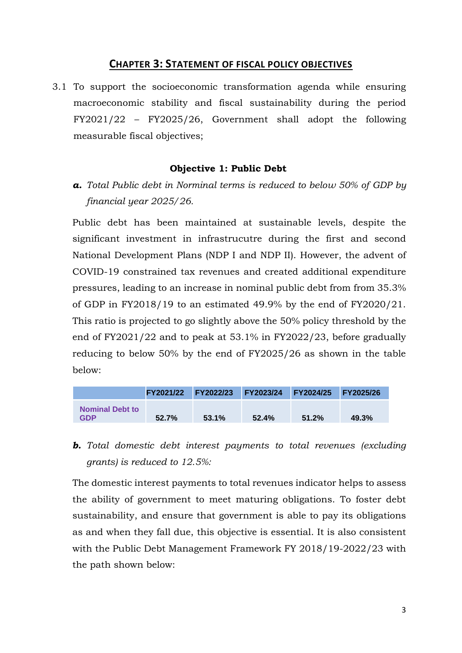#### **CHAPTER 3: STATEMENT OF FISCAL POLICY OBJECTIVES**

3.1 To support the socioeconomic transformation agenda while ensuring macroeconomic stability and fiscal sustainability during the period FY2021/22 – FY2025/26, Government shall adopt the following measurable fiscal objectives;

#### **Objective 1: Public Debt**

*a. Total Public debt in Norminal terms is reduced to below 50% of GDP by financial year 2025/26.*

Public debt has been maintained at sustainable levels, despite the significant investment in infrastrucutre during the first and second National Development Plans (NDP I and NDP II). However, the advent of COVID-19 constrained tax revenues and created additional expenditure pressures, leading to an increase in nominal public debt from from 35.3% of GDP in FY2018/19 to an estimated 49.9% by the end of FY2020/21. This ratio is projected to go slightly above the 50% policy threshold by the end of FY2021/22 and to peak at 53.1% in FY2022/23, before gradually reducing to below 50% by the end of FY2025/26 as shown in the table below:

|                                      | <b>FY2021/22</b> | FY2022/23 | FY2023/24 | <b>FY2024/25</b> | FY2025/26 |
|--------------------------------------|------------------|-----------|-----------|------------------|-----------|
| <b>Nominal Debt to</b><br><b>GDP</b> | 52.7%            | 53.1%     | 52.4%     | 51.2%            | 49.3%     |

*b. Total domestic debt interest payments to total revenues (excluding grants) is reduced to 12.5%:*

The domestic interest payments to total revenues indicator helps to assess the ability of government to meet maturing obligations. To foster debt sustainability, and ensure that government is able to pay its obligations as and when they fall due, this objective is essential. It is also consistent with the Public Debt Management Framework FY 2018/19-2022/23 with the path shown below: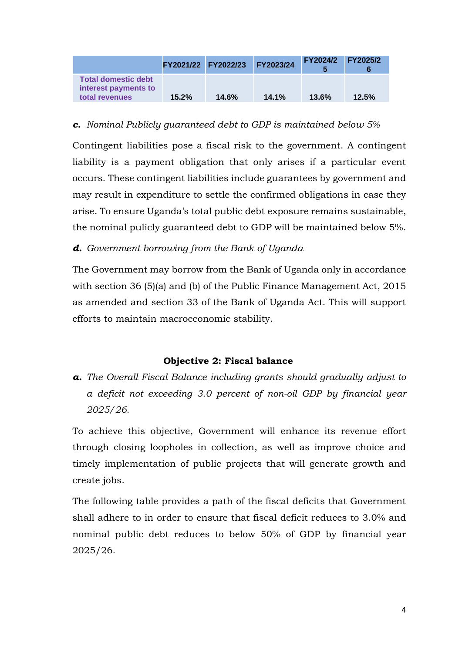|                                                                      | FY2021/22 FY2022/23 |       | FY2023/24 | <b>FY2024/2</b><br>h | <b>FY2025/2</b> |
|----------------------------------------------------------------------|---------------------|-------|-----------|----------------------|-----------------|
| <b>Total domestic debt</b><br>interest payments to<br>total revenues | 15.2%               | 14.6% | 14.1%     | $13.6\%$             | 12.5%           |

#### *c. Nominal Publicly guaranteed debt to GDP is maintained below 5%*

Contingent liabilities pose a fiscal risk to the government. A contingent liability is a payment obligation that only arises if a particular event occurs. These contingent liabilities include guarantees by government and may result in expenditure to settle the confirmed obligations in case they arise. To ensure Uganda's total public debt exposure remains sustainable, the nominal pulicly guaranteed debt to GDP will be maintained below 5%.

#### *d. Government borrowing from the Bank of Uganda*

The Government may borrow from the Bank of Uganda only in accordance with section 36 (5)(a) and (b) of the Public Finance Management Act, 2015 as amended and section 33 of the Bank of Uganda Act. This will support efforts to maintain macroeconomic stability.

#### **Objective 2: Fiscal balance**

*a. The Overall Fiscal Balance including grants should gradually adjust to a deficit not exceeding 3.0 percent of non-oil GDP by financial year 2025/26.*

To achieve this objective, Government will enhance its revenue effort through closing loopholes in collection, as well as improve choice and timely implementation of public projects that will generate growth and create jobs.

The following table provides a path of the fiscal deficits that Government shall adhere to in order to ensure that fiscal deficit reduces to 3.0% and nominal public debt reduces to below 50% of GDP by financial year 2025/26.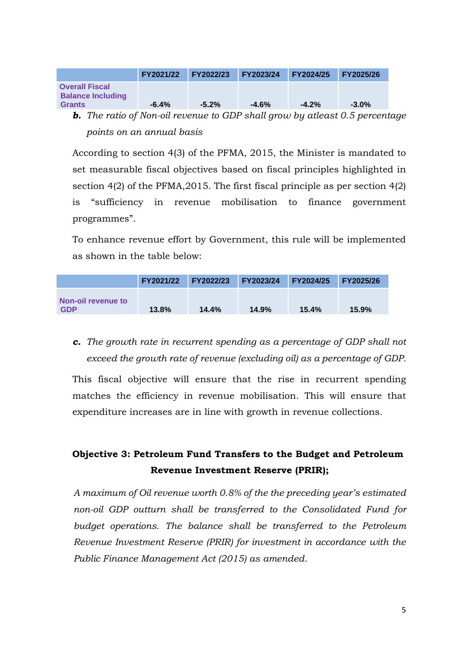|                                                                                    | FY2021/22 | FY2022/23 | FY2023/24 | FY2024/25 | FY2025/26 |  |
|------------------------------------------------------------------------------------|-----------|-----------|-----------|-----------|-----------|--|
| <b>Overall Fiscal</b><br><b>Balance Including</b>                                  |           |           |           |           |           |  |
| <b>Grants</b>                                                                      | $-6.4%$   | $-5.2%$   | $-4.6%$   | $-4.2%$   | $-3.0%$   |  |
| <b>b.</b> The ratio of Non-oil revenue to GDP shall grow by atleast 0.5 percentage |           |           |           |           |           |  |

*points on an annual basis*

According to section 4(3) of the PFMA, 2015, the Minister is mandated to set measurable fiscal objectives based on fiscal principles highlighted in section 4(2) of the PFMA,2015. The first fiscal principle as per section 4(2) is "sufficiency in revenue mobilisation to finance government programmes".

To enhance revenue effort by Government, this rule will be implemented as shown in the table below:

|                                  | FY2021/22 | FY2022/23 | FY2023/24 | FY2024/25 | <b>FY2025/26</b> |
|----------------------------------|-----------|-----------|-----------|-----------|------------------|
| Non-oil revenue to<br><b>GDP</b> | 13.8%     | 14.4%     | 14.9%     | 15.4%     | 15.9%            |

*c. The growth rate in recurrent spending as a percentage of GDP shall not exceed the growth rate of revenue (excluding oil) as a percentage of GDP.*

This fiscal objective will ensure that the rise in recurrent spending matches the efficiency in revenue mobilisation. This will ensure that expenditure increases are in line with growth in revenue collections.

### **Objective 3: Petroleum Fund Transfers to the Budget and Petroleum Revenue Investment Reserve (PRIR);**

*A maximum of Oil revenue worth 0.8% of the the preceding year's estimated non-oil GDP outturn shall be transferred to the Consolidated Fund for budget operations. The balance shall be transferred to the Petroleum Revenue Investment Reserve (PRIR) for investment in accordance with the Public Finance Management Act (2015) as amended.*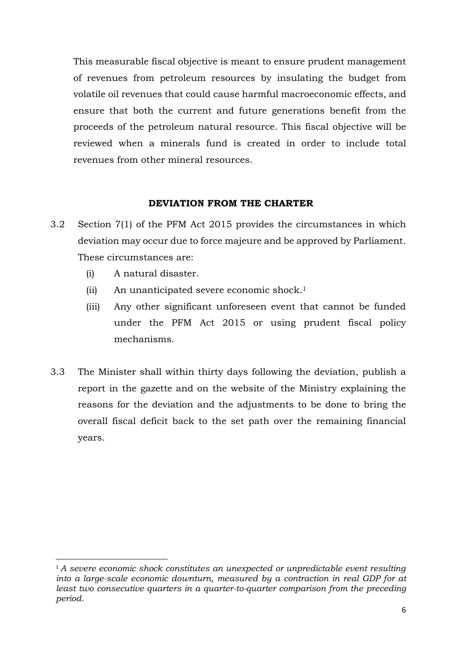This measurable fiscal objective is meant to ensure prudent management of revenues from petroleum resources by insulating the budget from volatile oil revenues that could cause harmful macroeconomic effects, and ensure that both the current and future generations benefit from the proceeds of the petroleum natural resource. This fiscal objective will be reviewed when a minerals fund is created in order to include total revenues from other mineral resources.

#### **DEVIATION FROM THE CHARTER**

- 3.2 Section 7(1) of the PFM Act 2015 provides the circumstances in which deviation may occur due to force majeure and be approved by Parliament. These circumstances are:
	- (i) A natural disaster.

1

- (ii) An unanticipated severe economic shock.<sup>1</sup>
- (iii) Any other significant unforeseen event that cannot be funded under the PFM Act 2015 or using prudent fiscal policy mechanisms.
- 3.3 The Minister shall within thirty days following the deviation, publish a report in the gazette and on the website of the Ministry explaining the reasons for the deviation and the adjustments to be done to bring the overall fiscal deficit back to the set path over the remaining financial years.

<sup>&</sup>lt;sup>1</sup> *A severe economic shock constitutes an unexpected or unpredictable event resulting into a large-scale economic downturn, measured by a contraction in real GDP for at least two consecutive quarters in a quarter-to-quarter comparison from the preceding period.*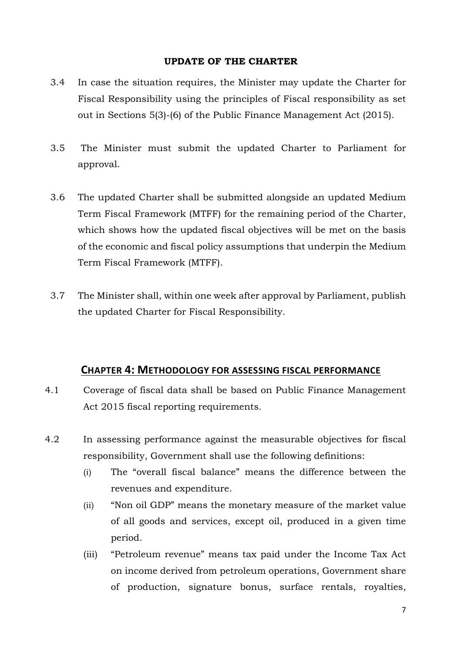#### **UPDATE OF THE CHARTER**

- 3.4 In case the situation requires, the Minister may update the Charter for Fiscal Responsibility using the principles of Fiscal responsibility as set out in Sections 5(3)-(6) of the Public Finance Management Act (2015).
- 3.5 The Minister must submit the updated Charter to Parliament for approval.
- 3.6 The updated Charter shall be submitted alongside an updated Medium Term Fiscal Framework (MTFF) for the remaining period of the Charter, which shows how the updated fiscal objectives will be met on the basis of the economic and fiscal policy assumptions that underpin the Medium Term Fiscal Framework (MTFF).
- 3.7 The Minister shall, within one week after approval by Parliament, publish the updated Charter for Fiscal Responsibility.

#### **CHAPTER 4: METHODOLOGY FOR ASSESSING FISCAL PERFORMANCE**

- 4.1 Coverage of fiscal data shall be based on Public Finance Management Act 2015 fiscal reporting requirements.
- 4.2 In assessing performance against the measurable objectives for fiscal responsibility, Government shall use the following definitions:
	- (i) The "overall fiscal balance" means the difference between the revenues and expenditure.
	- (ii) "Non oil GDP" means the monetary measure of the market value of all goods and services, except oil, produced in a given time period.
	- (iii) "Petroleum revenue" means tax paid under the Income Tax Act on income derived from petroleum operations, Government share of production, signature bonus, surface rentals, royalties,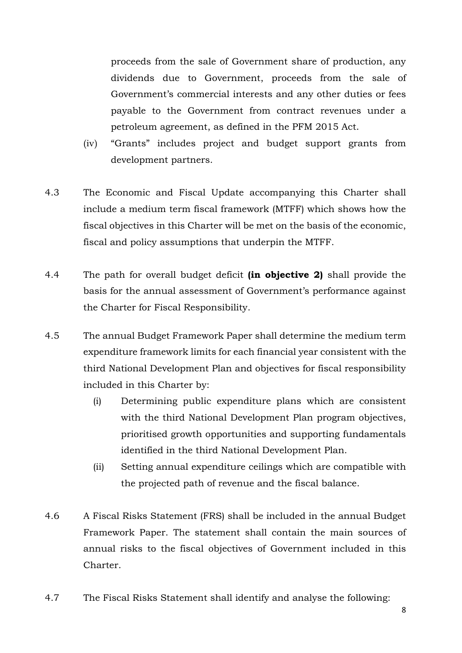proceeds from the sale of Government share of production, any dividends due to Government, proceeds from the sale of Government's commercial interests and any other duties or fees payable to the Government from contract revenues under a petroleum agreement, as defined in the PFM 2015 Act.

- (iv) "Grants" includes project and budget support grants from development partners.
- 4.3 The Economic and Fiscal Update accompanying this Charter shall include a medium term fiscal framework (MTFF) which shows how the fiscal objectives in this Charter will be met on the basis of the economic, fiscal and policy assumptions that underpin the MTFF.
- 4.4 The path for overall budget deficit **(in objective 2)** shall provide the basis for the annual assessment of Government's performance against the Charter for Fiscal Responsibility.
- 4.5 The annual Budget Framework Paper shall determine the medium term expenditure framework limits for each financial year consistent with the third National Development Plan and objectives for fiscal responsibility included in this Charter by:
	- (i) Determining public expenditure plans which are consistent with the third National Development Plan program objectives, prioritised growth opportunities and supporting fundamentals identified in the third National Development Plan.
	- (ii) Setting annual expenditure ceilings which are compatible with the projected path of revenue and the fiscal balance.
- 4.6 A Fiscal Risks Statement (FRS) shall be included in the annual Budget Framework Paper. The statement shall contain the main sources of annual risks to the fiscal objectives of Government included in this Charter.
- 4.7 The Fiscal Risks Statement shall identify and analyse the following: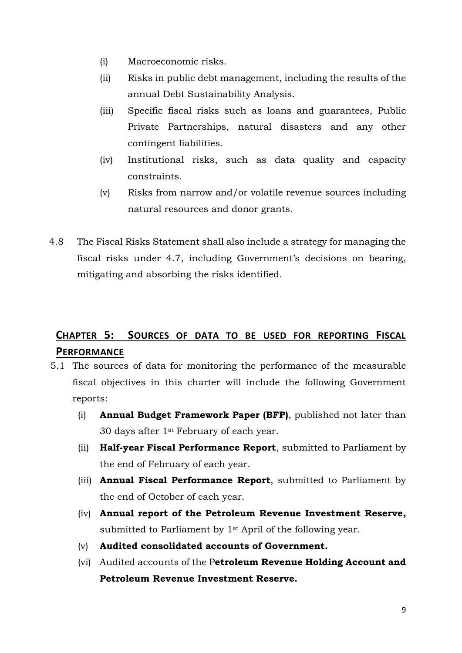- (i) Macroeconomic risks.
- (ii) Risks in public debt management, including the results of the annual Debt Sustainability Analysis.
- (iii) Specific fiscal risks such as loans and guarantees, Public Private Partnerships, natural disasters and any other contingent liabilities.
- (iv) Institutional risks, such as data quality and capacity constraints.
- (v) Risks from narrow and/or volatile revenue sources including natural resources and donor grants.
- 4.8 The Fiscal Risks Statement shall also include a strategy for managing the fiscal risks under 4.7, including Government's decisions on bearing, mitigating and absorbing the risks identified.

## **CHAPTER 5: SOURCES OF DATA TO BE USED FOR REPORTING FISCAL PERFORMANCE**

- 5.1 The sources of data for monitoring the performance of the measurable fiscal objectives in this charter will include the following Government reports:
	- (i) **Annual Budget Framework Paper (BFP)**, published not later than 30 days after 1st February of each year.
	- (ii) **Half-year Fiscal Performance Report**, submitted to Parliament by the end of February of each year.
	- (iii) **Annual Fiscal Performance Report**, submitted to Parliament by the end of October of each year.
	- (iv) **Annual report of the Petroleum Revenue Investment Reserve,**  submitted to Parliament by 1<sup>st</sup> April of the following year.
	- (v) **Audited consolidated accounts of Government.**
	- (vi) Audited accounts of the P**etroleum Revenue Holding Account and Petroleum Revenue Investment Reserve.**